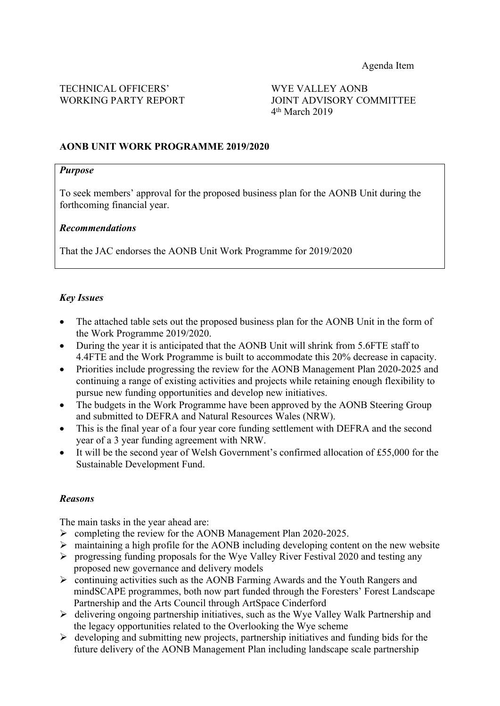WORKING PARTY REPORT JOINT ADVISORY COMMITTEE 4 th March 2019

## **AONB UNIT WORK PROGRAMME 2019/2020**

# *Purpose*

To seek members' approval for the proposed business plan for the AONB Unit during the forthcoming financial year.

#### *Recommendations*

That the JAC endorses the AONB Unit Work Programme for 2019/2020

### *Key Issues*

- The attached table sets out the proposed business plan for the AONB Unit in the form of the Work Programme 2019/2020.
- During the year it is anticipated that the AONB Unit will shrink from 5.6FTE staff to 4.4FTE and the Work Programme is built to accommodate this 20% decrease in capacity.
- Priorities include progressing the review for the AONB Management Plan 2020-2025 and continuing a range of existing activities and projects while retaining enough flexibility to pursue new funding opportunities and develop new initiatives.
- The budgets in the Work Programme have been approved by the AONB Steering Group and submitted to DEFRA and Natural Resources Wales (NRW).
- This is the final year of a four year core funding settlement with DEFRA and the second year of a 3 year funding agreement with NRW.
- It will be the second year of Welsh Government's confirmed allocation of £55,000 for the Sustainable Development Fund.

#### *Reasons*

The main tasks in the year ahead are:

- $\triangleright$  completing the review for the AONB Management Plan 2020-2025.
- $\triangleright$  maintaining a high profile for the AONB including developing content on the new website
- $\triangleright$  progressing funding proposals for the Wye Valley River Festival 2020 and testing any proposed new governance and delivery models
- continuing activities such as the AONB Farming Awards and the Youth Rangers and mindSCAPE programmes, both now part funded through the Foresters' Forest Landscape Partnership and the Arts Council through ArtSpace Cinderford
- $\triangleright$  delivering ongoing partnership initiatives, such as the Wye Valley Walk Partnership and the legacy opportunities related to the Overlooking the Wye scheme
- $\triangleright$  developing and submitting new projects, partnership initiatives and funding bids for the future delivery of the AONB Management Plan including landscape scale partnership